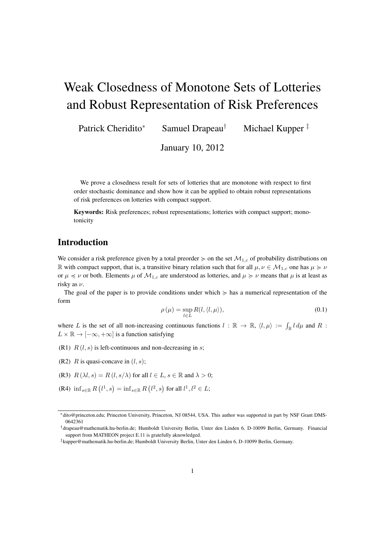# Weak Closedness of Monotone Sets of Lotteries and Robust Representation of Risk Preferences

Patrick Cheridito<sup>\*</sup> Samuel Drapeau<sup>†</sup> Michael Kupper<sup>‡</sup>

January 10, 2012

We prove a closedness result for sets of lotteries that are monotone with respect to first order stochastic dominance and show how it can be applied to obtain robust representations of risk preferences on lotteries with compact support.

Keywords: Risk preferences; robust representations; lotteries with compact support; monotonicity

## Introduction

We consider a risk preference given by a total preorder  $\succcurlyeq$  on the set  $\mathcal{M}_{1,c}$  of probability distributions on R with compact support, that is, a transitive binary relation such that for all  $\mu, \nu \in M_{1,c}$  one has  $\mu \succcurlyeq \nu$ or  $\mu \preccurlyeq \nu$  or both. Elements  $\mu$  of  $\mathcal{M}_{1,c}$  are understood as lotteries, and  $\mu \succeq \nu$  means that  $\mu$  is at least as risky as  $\nu$ .

The goal of the paper is to provide conditions under which  $\geq$  has a numerical representation of the form

$$
\rho(\mu) = \sup_{l \in L} R(l, \langle l, \mu \rangle), \tag{0.1}
$$

where L is the set of all non-increasing continuous functions  $l : \mathbb{R} \to \mathbb{R}$ ,  $\langle l, \mu \rangle := \int_{\mathbb{R}} l \, d\mu$  and R :  $L \times \mathbb{R} \rightarrow [-\infty, +\infty]$  is a function satisfying

- (R1)  $R(l, s)$  is left-continuous and non-decreasing in s;
- (R2)  $R$  is quasi-concave in  $(l, s)$ ;
- (R3)  $R(\lambda l, s) = R(l, s/\lambda)$  for all  $l \in L$ ,  $s \in \mathbb{R}$  and  $\lambda > 0$ ;
- (R4)  $\inf_{s \in \mathbb{R}} R(l^1, s) = \inf_{s \in \mathbb{R}} R(l^2, s)$  for all  $l^1, l^2 \in L$ ;

<sup>∗</sup>dito@princeton.edu; Princeton University, Princeton, NJ 08544, USA. This author was supported in part by NSF Grant DMS-0642361

<sup>†</sup>drapeau@mathematik.hu-berlin.de; Humboldt University Berlin, Unter den Linden 6, D-10099 Berlin, Germany. Financial support from MATHEON project E.11 is gratefully aknowledged.

<sup>‡</sup>kupper@mathematik.hu-berlin.de; Humboldt University Berlin, Unter den Linden 6, D-10099 Berlin, Germany.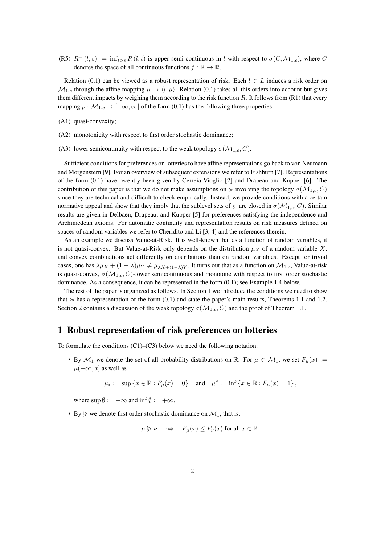(R5)  $R^+(l,s) := \inf_{t>s} R(l,t)$  is upper semi-continuous in l with respect to  $\sigma(C,M_{1,c})$ , where C denotes the space of all continuous functions  $f : \mathbb{R} \to \mathbb{R}$ .

Relation (0.1) can be viewed as a robust representation of risk. Each  $l \in L$  induces a risk order on  $M_{1,c}$  through the affine mapping  $\mu \mapsto \langle l, \mu \rangle$ . Relation (0.1) takes all this orders into account but gives them different impacts by weighing them according to the risk function  $R$ . It follows from  $(R1)$  that every mapping  $\rho : \mathcal{M}_{1,c} \to [-\infty, \infty]$  of the form (0.1) has the following three properties:

- (A1) quasi-convexity;
- (A2) monotonicity with respect to first order stochastic dominance;
- (A3) lower semicontinuity with respect to the weak topology  $\sigma(M_{1,c}, C)$ .

Sufficient conditions for preferences on lotteries to have affine representations go back to von Neumann and Morgenstern [9]. For an overview of subsequent extensions we refer to Fishburn [7]. Representations of the form (0.1) have recently been given by Cerreia-Vioglio [2] and Drapeau and Kupper [6]. The contribution of this paper is that we do not make assumptions on  $\succeq$  involving the topology  $\sigma(M_{1,c}, C)$ since they are technical and difficult to check empirically. Instead, we provide conditions with a certain normative appeal and show that they imply that the sublevel sets of  $\succcurlyeq$  are closed in  $\sigma(\mathcal{M}_{1,c}, C)$ . Similar results are given in Delbaen, Drapeau, and Kupper [5] for preferences satisfying the independence and Archimedean axioms. For automatic continuity and representation results on risk measures defined on spaces of random variables we refer to Cheridito and Li [3, 4] and the references therein.

As an example we discuss Value-at-Risk. It is well-known that as a function of random variables, it is not quasi-convex. But Value-at-Risk only depends on the distribution  $\mu_X$  of a random variable X, and convex combinations act differently on distributions than on random variables. Except for trivial cases, one has  $\lambda \mu_X + (1 - \lambda)\mu_Y \neq \mu_{\lambda X + (1 - \lambda)Y}$ . It turns out that as a function on  $\mathcal{M}_{1,c}$ , Value-at-risk is quasi-convex,  $\sigma(M_{1,c}, C)$ -lower semicontinuous and monotone with respect to first order stochastic dominance. As a consequence, it can be represented in the form (0.1); see Example 1.4 below.

The rest of the paper is organized as follows. In Section 1 we introduce the conditions we need to show that  $\succcurlyeq$  has a representation of the form (0.1) and state the paper's main results, Theorems 1.1 and 1.2. Section 2 contains a discussion of the weak topology  $\sigma(M_{1,c}, C)$  and the proof of Theorem 1.1.

#### 1 Robust representation of risk preferences on lotteries

To formulate the conditions  $(C1)$ – $(C3)$  below we need the following notation:

• By  $\mathcal{M}_1$  we denote the set of all probability distributions on R. For  $\mu \in \mathcal{M}_1$ , we set  $F_\mu(x) :=$  $\mu(-\infty, x]$  as well as

 $\mu_* := \sup \{ x \in \mathbb{R} : F_\mu(x) = 0 \}$  and  $\mu^* := \inf \{ x \in \mathbb{R} : F_\mu(x) = 1 \}$ ,

where  $\sup \emptyset := -\infty$  and  $\inf \emptyset := +\infty$ .

• By  $\triangleright$  we denote first order stochastic dominance on  $\mathcal{M}_1$ , that is,

$$
\mu \geq \nu \quad \Rightarrow \quad F_{\mu}(x) \leq F_{\nu}(x) \text{ for all } x \in \mathbb{R}.
$$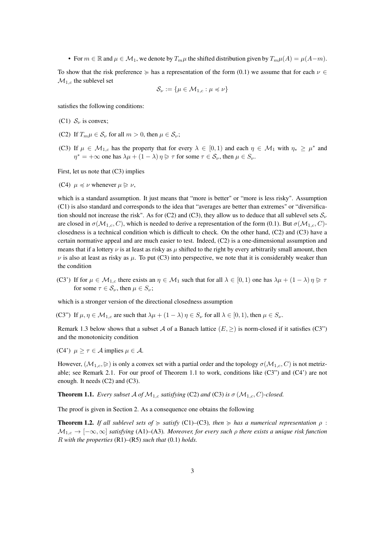• For  $m \in \mathbb{R}$  and  $\mu \in \mathcal{M}_1$ , we denote by  $T_m \mu$  the shifted distribution given by  $T_m \mu(A) = \mu(A-m)$ .

To show that the risk preference  $\succeq$  has a representation of the form (0.1) we assume that for each  $\nu \in$  $\mathcal{M}_{1,c}$  the sublevel set

$$
\mathcal{S}_{\nu} := \{ \mu \in \mathcal{M}_{1,c} : \mu \preccurlyeq \nu \}
$$

satisfies the following conditions:

- (C1)  $S_{\nu}$  is convex;
- (C2) If  $T_m \mu \in \mathcal{S}_{\nu}$  for all  $m > 0$ , then  $\mu \in \mathcal{S}_{\nu}$ ;
- (C3) If  $\mu \in \mathcal{M}_{1,c}$  has the property that for every  $\lambda \in [0,1)$  and each  $\eta \in \mathcal{M}_1$  with  $\eta_* \geq \mu^*$  and  $\eta^* = +\infty$  one has  $\lambda \mu + (1 - \lambda) \eta \geq \tau$  for some  $\tau \in S_{\nu}$ , then  $\mu \in S_{\nu}$ .

First, let us note that (C3) implies

(C4)  $\mu \preccurlyeq \nu$  whenever  $\mu \trianglerighteq \nu$ ,

which is a standard assumption. It just means that "more is better" or "more is less risky". Assumption (C1) is also standard and corresponds to the idea that "averages are better than extremes" or "diversification should not increase the risk". As for (C2) and (C3), they allow us to deduce that all sublevel sets  $S_{\nu}$ are closed in  $\sigma(M_{1,c}, C)$ , which is needed to derive a representation of the form (0.1). But  $\sigma(M_{1,c}, C)$ closedness is a technical condition which is difficult to check. On the other hand, (C2) and (C3) have a certain normative appeal and are much easier to test. Indeed, (C2) is a one-dimensional assumption and means that if a lottery  $\nu$  is at least as risky as  $\mu$  shifted to the right by every arbitrarily small amount, then  $\nu$  is also at least as risky as  $\mu$ . To put (C3) into perspective, we note that it is considerably weaker than the condition

(C3') If for  $\mu \in M_{1,c}$  there exists an  $\eta \in M_1$  such that for all  $\lambda \in [0,1)$  one has  $\lambda \mu + (1 - \lambda) \eta \geq \tau$ for some  $\tau \in S_{\nu}$ , then  $\mu \in S_{\nu}$ ;

which is a stronger version of the directional closedness assumption

(C3") If  $\mu, \eta \in \mathcal{M}_1$ , are such that  $\lambda \mu + (1 - \lambda) \eta \in S_{\nu}$  for all  $\lambda \in [0, 1)$ , then  $\mu \in S_{\nu}$ .

Remark 1.3 below shows that a subset A of a Banach lattice  $(E, \geq)$  is norm-closed if it satisfies (C3") and the monotonicity condition

(C4')  $\mu > \tau \in A$  implies  $\mu \in A$ .

However,  $(M_{1,c}, \geqslant)$  is only a convex set with a partial order and the topology  $\sigma(M_{1,c}, C)$  is not metrizable; see Remark 2.1. For our proof of Theorem 1.1 to work, conditions like (C3") and (C4') are not enough. It needs (C2) and (C3).

**Theorem 1.1.** *Every subset* A of  $\mathcal{M}_{1,c}$  *satisfying* (C2) *and* (C3) *is*  $\sigma$  ( $\mathcal{M}_{1,c}$ , C)-closed.

The proof is given in Section 2. As a consequence one obtains the following

**Theorem 1.2.** *If all sublevel sets of*  $\succcurlyeq$  *satisfy* (C1)–(C3)*, then*  $\succcurlyeq$  *has a numerical representation*  $\rho$ : M1,c → [−∞, ∞] *satisfying* (A1)*–*(A3)*. Moreover, for every such* ρ *there exists a unique risk function* R *with the properties* (R1)*–*(R5) *such that* (0.1) *holds.*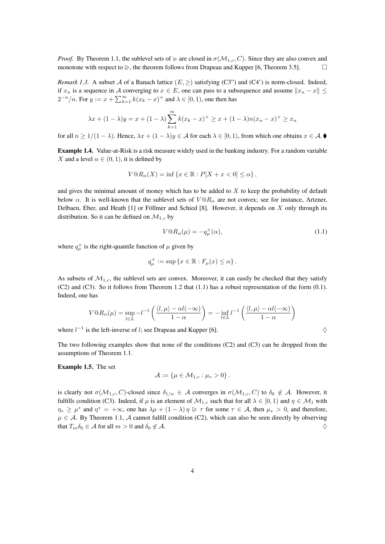*Proof.* By Theorem 1.1, the sublevel sets of  $\succeq$  are closed in  $\sigma(\mathcal{M}_{1,c}, C)$ . Since they are also convex and monotone with respect to  $\geq$ , the theorem follows from Drapeau and Kupper [6, Theorem 3.5].

*Remark 1.3.* A subset A of a Banach lattice  $(E, \geq)$  satisfying (C3") and (C4") is norm-closed. Indeed, if  $x_n$  is a sequence in A converging to  $x \in E$ , one can pass to a subsequence and assume  $||x_n - x|| \le$  $2^{-n}/n$ . For  $y := x + \sum_{k=1}^{\infty} k(x_k - x)^+$  and  $\lambda \in [0, 1)$ , one then has

$$
\lambda x + (1 - \lambda)y = x + (1 - \lambda) \sum_{k=1}^{\infty} k(x_k - x)^{+} \ge x + (1 - \lambda)n(x_n - x)^{+} \ge x_n
$$

for all  $n \ge 1/(1 - \lambda)$ . Hence,  $\lambda x + (1 - \lambda)y \in A$  for each  $\lambda \in [0, 1)$ , from which one obtains  $x \in A$ .

Example 1.4. Value-at-Risk is a risk measure widely used in the banking industry. For a random variable X and a level  $\alpha \in (0, 1)$ , it is defined by

$$
V@R_{\alpha}(X) = \inf \{ x \in \mathbb{R} : P[X + x < 0] \le \alpha \},
$$

and gives the minimal amount of money which has to be added to  $X$  to keep the probability of default below  $\alpha$ . It is well-known that the sublevel sets of  $V@R_\alpha$  are not convex; see for instance, Artzner, Delbaen, Eber, and Heath [1] or Föllmer and Schied [8]. However, it depends on X only through its distribution. So it can be defined on  $\mathcal{M}_{1,c}$  by

$$
V@R_{\alpha}(\mu) = -q_{\mu}^{+}(\alpha), \qquad (1.1)
$$

where  $q^+_{\mu}$  is the right-quantile function of  $\mu$  given by

$$
q^+_{\mu} := \sup \{ x \in \mathbb{R} : F_{\mu}(x) \le \alpha \} .
$$

As subsets of  $\mathcal{M}_{1,c}$ , the sublevel sets are convex. Moreover, it can easily be checked that they satisfy (C2) and (C3). So it follows from Theorem 1.2 that (1.1) has a robust representation of the form (0.1). Indeed, one has

$$
V@R_{\alpha}(\mu) = \sup_{l \in L} -l^{-1} \left( \frac{\langle l, \mu \rangle - \alpha l(-\infty)}{1 - \alpha} \right) = -\inf_{l \in L} l^{-1} \left( \frac{\langle l, \mu \rangle - \alpha l(-\infty)}{1 - \alpha} \right)
$$

where  $l^{-1}$  is the left-inverse of l; see Drapeau and Kupper [6].  $\diamond$ 

The two following examples show that none of the conditions (C2) and (C3) can be dropped from the assumptions of Theorem 1.1.

Example 1.5. The set

$$
\mathcal{A}:=\left\{\mu\in\mathcal{M}_{1,c}:\mu_*>0\right\}.
$$

is clearly not  $\sigma(M_{1,c}, C)$ -closed since  $\delta_{1/n} \in A$  converges in  $\sigma(M_{1,c}, C)$  to  $\delta_0 \notin A$ . However, it fulfills condition (C3). Indeed, if  $\mu$  is an element of  $\mathcal{M}_{1,c}$  such that for all  $\lambda \in [0,1)$  and  $\eta \in \mathcal{M}_1$  with  $\eta_* \ge \mu^*$  and  $\eta^* = +\infty$ , one has  $\lambda \mu + (1 - \lambda) \eta \ge \tau$  for some  $\tau \in A$ , then  $\mu_* > 0$ , and therefore,  $\mu \in A$ . By Theorem 1.1, A cannot fulfill condition (C2), which can also be seen directly by observing that  $T_m \delta_0 \in A$  for all  $m > 0$  and  $\delta_0 \notin A$ .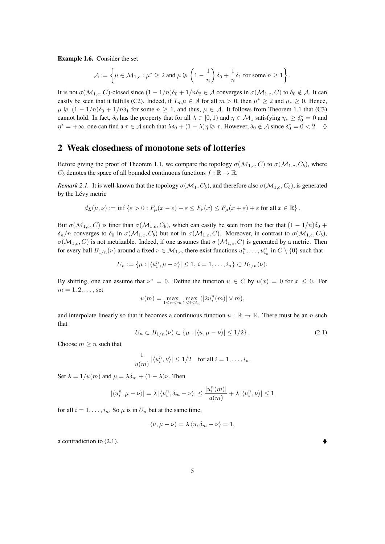Example 1.6. Consider the set

$$
\mathcal{A}:=\left\{\mu\in\mathcal{M}_{1,c}:\mu^*\geq 2\text{ and } \mu\vartriangleright\left(1-\frac{1}{n}\right)\delta_0+\frac{1}{n}\delta_1\text{ for some }n\geq 1\right\}.
$$

It is not  $\sigma(M_{1,c}, C)$ -closed since  $(1 - 1/n)\delta_0 + 1/n\delta_2 \in A$  converges in  $\sigma(M_{1,c}, C)$  to  $\delta_0 \notin A$ . It can easily be seen that it fulfills (C2). Indeed, if  $T_m \mu \in A$  for all  $m > 0$ , then  $\mu^* \ge 2$  and  $\mu_* \ge 0$ . Hence,  $\mu \geq (1 - 1/n)\delta_0 + 1/n\delta_1$  for some  $n \geq 1$ , and thus,  $\mu \in A$ . It follows from Theorem 1.1 that (C3) cannot hold. In fact,  $\delta_0$  has the property that for all  $\lambda \in [0,1)$  and  $\eta \in \mathcal{M}_1$  satisfying  $\eta_* \ge \delta_0^* = 0$  and  $\eta^* = +\infty$ , one can find a  $\tau \in A$  such that  $\lambda \delta_0 + (1 - \lambda)\eta \ge \tau$ . However,  $\delta_0 \notin A$  since  $\delta_0^* = 0 < 2$ .  $\diamondsuit$ 

#### 2 Weak closedness of monotone sets of lotteries

Before giving the proof of Theorem 1.1, we compare the topology  $\sigma(M_{1,c}, C)$  to  $\sigma(M_{1,c}, C_b)$ , where  $C_b$  denotes the space of all bounded continuous functions  $f : \mathbb{R} \to \mathbb{R}$ .

*Remark 2.1.* It is well-known that the topology  $\sigma(M_1, C_b)$ , and therefore also  $\sigma(M_{1,c}, C_b)$ , is generated by the Lévy metric

$$
d_L(\mu, \nu) := \inf \{\varepsilon > 0 : F_{\mu}(x - \varepsilon) - \varepsilon \le F_{\nu}(x) \le F_{\mu}(x + \varepsilon) + \varepsilon \text{ for all } x \in \mathbb{R}\}.
$$

But  $\sigma(\mathcal{M}_{1,c}, C)$  is finer than  $\sigma(\mathcal{M}_{1,c}, C_b)$ , which can easily be seen from the fact that  $(1 - 1/n)\delta_0 +$  $\delta_n/n$  converges to  $\delta_0$  in  $\sigma(M_{1,c}, C_b)$  but not in  $\sigma(M_{1,c}, C)$ . Moreover, in contrast to  $\sigma(M_{1,c}, C_b)$ ,  $\sigma(M_{1,c}, C)$  is not metrizable. Indeed, if one assumes that  $\sigma(M_{1,c}, C)$  is generated by a metric. Then for every ball  $B_{1/n}(\nu)$  around a fixed  $\nu \in M_{1,c}$ , there exist functions  $u_1^n, \ldots, u_{i_n}^n$  in  $C \setminus \{0\}$  such that

$$
U_n := \{ \mu : |\langle u_i^n, \mu - \nu \rangle| \leq 1, \, i = 1, \dots, i_n \} \subset B_{1/n}(\nu).
$$

By shifting, one can assume that  $\nu^* = 0$ . Define the function  $u \in C$  by  $u(x) = 0$  for  $x \le 0$ . For  $m = 1, 2, ...,$  set

$$
u(m)=\max_{1\leq n\leq m}\max_{1\leq i\leq i_n}(|2u_i^n(m)|\vee m),
$$

and interpolate linearly so that it becomes a continuous function  $u : \mathbb{R} \to \mathbb{R}$ . There must be an n such that

$$
U_n \subset B_{1/n}(\nu) \subset \{\mu : |\langle u, \mu - \nu \rangle| \le 1/2\}.
$$
 (2.1)

Choose  $m \geq n$  such that

$$
\frac{1}{u(m)} |\langle u_i^n, \nu \rangle| \le 1/2 \quad \text{for all } i = 1, \dots, i_n.
$$

Set  $\lambda = 1/u(m)$  and  $\mu = \lambda \delta_m + (1 - \lambda)\nu$ . Then

$$
|\langle u_i^n,\mu-\nu\rangle|=\lambda\left|\langle u_i^n,\delta_m-\nu\rangle\right|\leq \frac{|u_i^n(m)|}{u(m)}+\lambda\left|\langle u_i^n,\nu\rangle\right|\leq 1
$$

for all  $i = 1, \ldots, i_n$ . So  $\mu$  is in  $U_n$  but at the same time,

$$
\langle u, \mu - \nu \rangle = \lambda \langle u, \delta_m - \nu \rangle = 1,
$$

a contradiction to (2.1).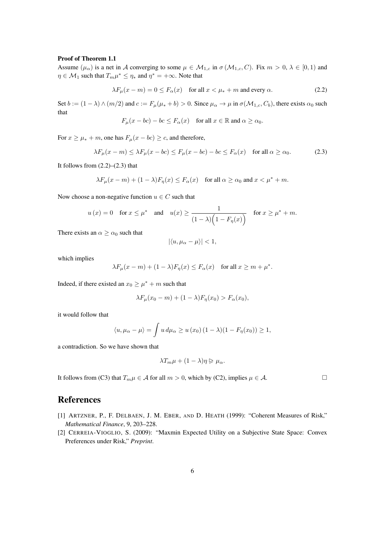#### Proof of Theorem 1.1

Assume  $(\mu_{\alpha})$  is a net in A converging to some  $\mu \in M_{1,c}$  in  $\sigma(M_{1,c}, C)$ . Fix  $m > 0, \lambda \in [0, 1)$  and  $\eta \in \mathcal{M}_1$  such that  $T_m \mu^* \leq \eta_*$  and  $\eta^* = +\infty$ . Note that

$$
\lambda F_{\mu}(x - m) = 0 \le F_{\alpha}(x) \quad \text{for all } x < \mu_* + m \text{ and every } \alpha. \tag{2.2}
$$

Set  $b := (1 - \lambda) \wedge (m/2)$  and  $c := F_\mu(\mu_* + b) > 0$ . Since  $\mu_\alpha \to \mu$  in  $\sigma(\mathcal{M}_{1,c}, C_b)$ , there exists  $\alpha_0$  such that

$$
F_{\mu}(x - bc) - bc \le F_{\alpha}(x) \quad \text{for all } x \in \mathbb{R} \text{ and } \alpha \ge \alpha_0.
$$

For  $x \ge \mu_* + m$ , one has  $F_\mu(x - bc) \ge c$ , and therefore,

$$
\lambda F_{\mu}(x - m) \le \lambda F_{\mu}(x - bc) \le F_{\mu}(x - bc) - bc \le F_{\alpha}(x) \quad \text{for all } \alpha \ge \alpha_0. \tag{2.3}
$$

It follows from  $(2.2)$ – $(2.3)$  that

$$
\lambda F_{\mu}(x-m) + (1-\lambda)F_{\eta}(x) \le F_{\alpha}(x) \quad \text{for all } \alpha \ge \alpha_0 \text{ and } x < \mu^* + m.
$$

Now choose a non-negative function  $u \in C$  such that

$$
u(x) = 0
$$
 for  $x \le \mu^*$  and  $u(x) \ge \frac{1}{(1 - \lambda)\left(1 - F_\eta(x)\right)}$  for  $x \ge \mu^* + m$ .

There exists an  $\alpha \geq \alpha_0$  such that

$$
|\langle u, \mu_\alpha - \mu \rangle| < 1,
$$

which implies

$$
\lambda F_{\mu}(x - m) + (1 - \lambda)F_{\eta}(x) \le F_{\alpha}(x) \quad \text{for all } x \ge m + \mu^*.
$$

Indeed, if there existed an  $x_0 \ge \mu^* + m$  such that

$$
\lambda F_{\mu}(x_0 - m) + (1 - \lambda) F_{\eta}(x_0) > F_{\alpha}(x_0),
$$

it would follow that

$$
\langle u, \mu_{\alpha} - \mu \rangle = \int u \, d\mu_{\alpha} \ge u \left( x_0 \right) (1 - \lambda)(1 - F_{\eta}(x_0)) \ge 1,
$$

a contradiction. So we have shown that

$$
\lambda T_m \mu + (1 - \lambda)\eta \ge \mu_\alpha.
$$

It follows from (C3) that  $T_m \mu \in A$  for all  $m > 0$ , which by (C2), implies  $\mu \in A$ .

### References

- [1] ARTZNER, P., F. DELBAEN, J. M. EBER, AND D. HEATH (1999): "Coherent Measures of Risk," *Mathematical Finance*, 9, 203–228.
- [2] CERREIA-VIOGLIO, S. (2009): "Maxmin Expected Utility on a Subjective State Space: Convex Preferences under Risk," *Preprint*.